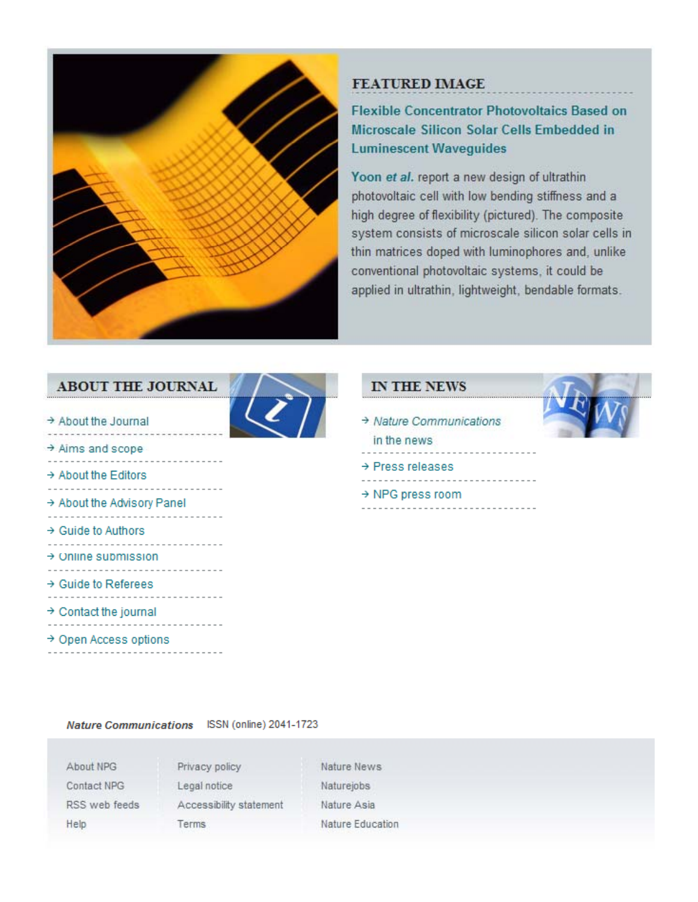

# **FEATURED IMAGE**

**Flexible Concentrator Photovoltaics Based on** Microscale Silicon Solar Cells Embedded in **Luminescent Waveguides** 

Yoon et al. report a new design of ultrathin photovoltaic cell with low bending stiffness and a high degree of flexibility (pictured). The composite system consists of microscale silicon solar cells in thin matrices doped with luminophores and, unlike conventional photovoltaic systems, it could be applied in ultrathin, lightweight, bendable formats.

## **ABOUT THE JOURNAL**

- About the Journal -----------------------
- $\rightarrow$  Aims and scope
- ---------------------------------
- → About the Editors ---------------------------------
- About the Advisory Panel
- ---------------------------------
- $\rightarrow$  Guide to Authors
- $\rightarrow$  Online submission
- ---------------------------------
- $\rightarrow$  Guide to Referees
- ---------------------------------
- $\rightarrow$  Contact the journal ---------------------------------
- $\rightarrow$  Open Access options
- 

## **IN THE NEWS**

A Nature Communications in the news -------------------------→ Press releases ---------------------------------→ NPG press room

--------------------

Nature Communications ISSN (online) 2041-1723

| About NPG     | Privacy policy          | Nature News      |
|---------------|-------------------------|------------------|
| Contact NPG   | Legal notice            | Naturejobs       |
| RSS web feeds | Accessibility statement | Nature Asia      |
| Help          | Terms                   | Nature Education |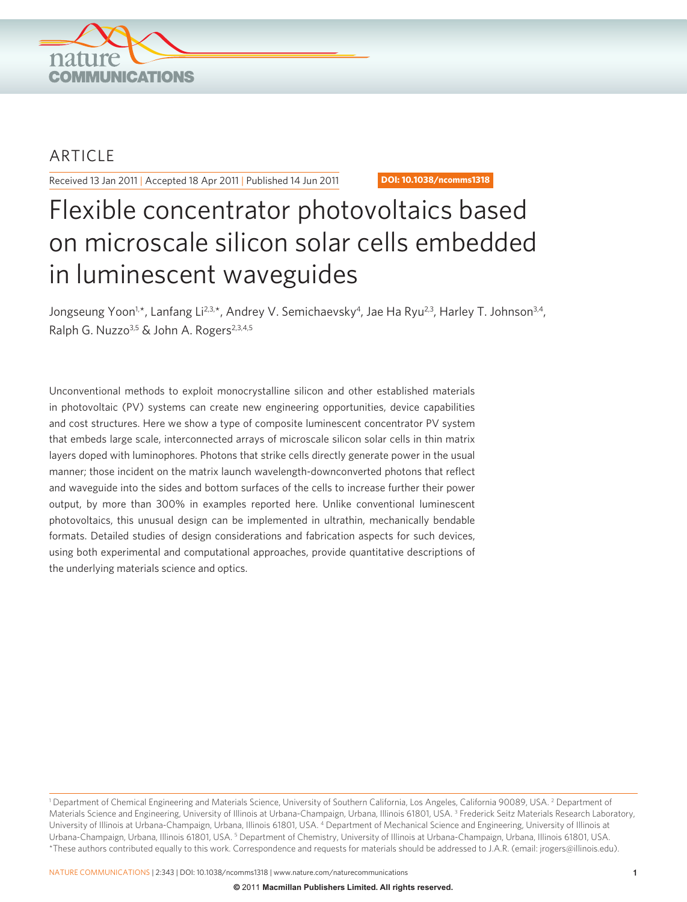

Received 13 Jan 2011 | Accepted 18 Apr 2011 | Published 14 Jun 2011 **DOI: 10.1038/ncomms1318** 

# Flexible concentrator photovoltaics based on microscale silicon solar cells embedded in luminescent waveguides

Jongseung Yoon<sup>1,\*</sup>, Lanfang Li<sup>2,3,\*</sup>, Andrey V. Semichaevsky<sup>4</sup>, Jae Ha Ryu<sup>2,3</sup>, Harley T. Johnson<sup>3,4</sup>, Ralph G. Nuzzo<sup>3,5</sup> & John A. Rogers<sup>2,3,4,5</sup>

Unconventional methods to exploit monocrystalline silicon and other established materials in photovoltaic (PV) systems can create new engineering opportunities, device capabilities and cost structures. Here we show a type of composite luminescent concentrator PV system that embeds large scale, interconnected arrays of microscale silicon solar cells in thin matrix layers doped with luminophores. Photons that strike cells directly generate power in the usual manner; those incident on the matrix launch wavelength-downconverted photons that reflect and waveguide into the sides and bottom surfaces of the cells to increase further their power output, by more than 300% in examples reported here. Unlike conventional luminescent photovoltaics, this unusual design can be implemented in ultrathin, mechanically bendable formats. Detailed studies of design considerations and fabrication aspects for such devices, using both experimental and computational approaches, provide quantitative descriptions of the underlying materials science and optics.

<sup>&</sup>lt;sup>1</sup> Department of Chemical Engineering and Materials Science, University of Southern California, Los Angeles, California 90089, USA. <sup>2</sup> Department of Materials Science and Engineering, University of Illinois at Urbana-Champaign, Urbana, Illinois 61801, USA. <sup>3</sup> Frederick Seitz Materials Research Laboratory, University of Illinois at Urbana-Champaign, Urbana, Illinois 61801, USA. 4 Department of Mechanical Science and Engineering, University of Illinois at Urbana-Champaign, Urbana, Illinois 61801, USA. <sup>5</sup> Department of Chemistry, University of Illinois at Urbana-Champaign, Urbana, Illinois 61801, USA. \*These authors contributed equally to this work. Correspondence and requests for materials should be addressed to J.A.R. (email: jrogers@illinois.edu).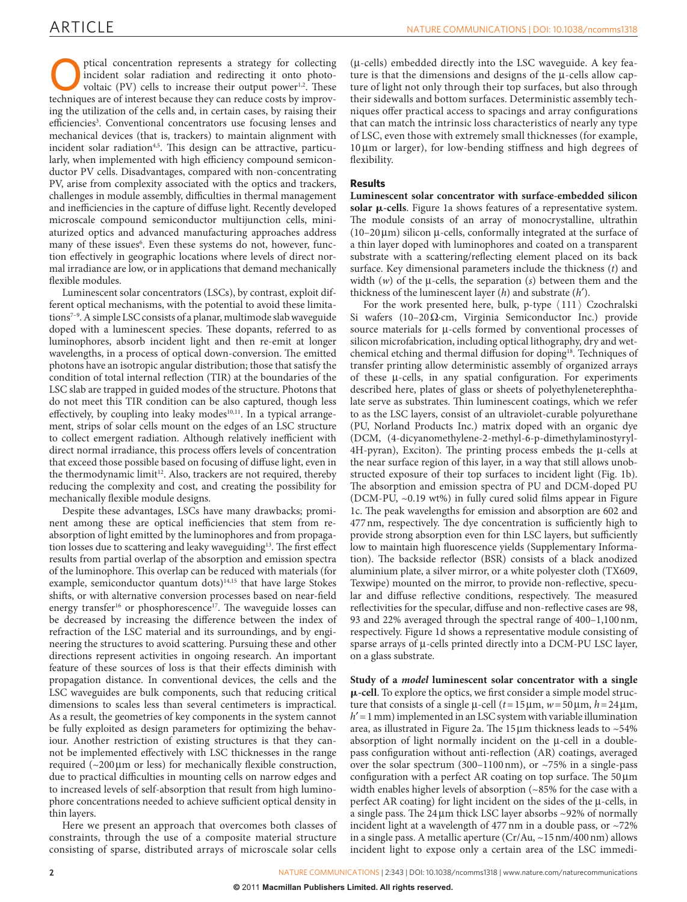ptical concentration represents a strategy for collecting incident solar radiation and redirecting it onto photovoltaic  $(PV)$  cells to increase their output power $\cdot^{1,2}$ . These techniques are of interest because they can reduce costs by improving the utilization of the cells and, in certain cases, by raising their efficiencies<sup>3</sup>. Conventional concentrators use focusing lenses and mechanical devices (that is, trackers) to maintain alignment with incident solar radiation<sup>4,5</sup>. This design can be attractive, particularly, when implemented with high efficiency compound semiconductor PV cells. Disadvantages, compared with non-concentrating PV, arise from complexity associated with the optics and trackers, challenges in module assembly, difficulties in thermal management and inefficiencies in the capture of diffuse light. Recently developed microscale compound semiconductor multijunction cells, miniaturized optics and advanced manufacturing approaches address many of these issues<sup>[6](#page-8-3)</sup>. Even these systems do not, however, function effectively in geographic locations where levels of direct normal irradiance are low, or in applications that demand mechanically flexible modules.

Luminescent solar concentrators (LSCs), by contrast, exploit different optical mechanisms, with the potential to avoid these limitations[7–9](#page-8-4) . A simple LSC consists of a planar, multimode slab waveguide doped with a luminescent species. These dopants, referred to as luminophores, absorb incident light and then re-emit at longer wavelengths, in a process of optical down-conversion. The emitted photons have an isotropic angular distribution; those that satisfy the condition of total internal reflection (TIR) at the boundaries of the LSC slab are trapped in guided modes of the structure. Photons that do not meet this TIR condition can be also captured, though less effectively, by coupling into leaky modes<sup>[10,11](#page-8-5)</sup>. In a typical arrangement, strips of solar cells mount on the edges of an LSC structure to collect emergent radiation. Although relatively inefficient with direct normal irradiance, this process offers levels of concentration that exceed those possible based on focusing of diffuse light, even in the thermodynamic limit<sup>[12](#page-8-6)</sup>. Also, trackers are not required, thereby reducing the complexity and cost, and creating the possibility for mechanically flexible module designs.

Despite these advantages, LSCs have many drawbacks; prominent among these are optical inefficiencies that stem from reabsorption of light emitted by the luminophores and from propagation losses due to scattering and leaky waveguiding<sup>13</sup>. The first effect results from partial overlap of the absorption and emission spectra of the luminophore. This overlap can be reduced with materials (for example, semiconductor quantum dots)<sup>[14,15](#page-8-8)</sup> that have large Stokes shifts, or with alternative conversion processes based on near-field energy transfer<sup>[16](#page-8-9)</sup> or phosphorescence<sup>[17](#page-8-10)</sup>. The waveguide losses can be decreased by increasing the difference between the index of refraction of the LSC material and its surroundings, and by engineering the structures to avoid scattering. Pursuing these and other directions represent activities in ongoing research. An important feature of these sources of loss is that their effects diminish with propagation distance. In conventional devices, the cells and the LSC waveguides are bulk components, such that reducing critical dimensions to scales less than several centimeters is impractical. As a result, the geometries of key components in the system cannot be fully exploited as design parameters for optimizing the behaviour. Another restriction of existing structures is that they cannot be implemented effectively with LSC thicknesses in the range required ( $\sim$ 200 $\mu$ m or less) for mechanically flexible construction, due to practical difficulties in mounting cells on narrow edges and to increased levels of self-absorption that result from high luminophore concentrations needed to achieve sufficient optical density in thin layers.

Here we present an approach that overcomes both classes of constraints, through the use of a composite material structure consisting of sparse, distributed arrays of microscale solar cells

(µ-cells) embedded directly into the LSC waveguide. A key feature is that the dimensions and designs of the  $\mu$ -cells allow capture of light not only through their top surfaces, but also through their sidewalls and bottom surfaces. Deterministic assembly techniques offer practical access to spacings and array configurations that can match the intrinsic loss characteristics of nearly any type of LSC, even those with extremely small thicknesses (for example,  $10 \mu m$  or larger), for low-bending stiffness and high degrees of flexibility.

#### **Results**

**Luminescent solar concentrator with surface-embedded silicon solar -cells**. [Figure 1a](#page-3-0) shows features of a representative system. The module consists of an array of monocrystalline, ultrathin ( $10-20 \mu m$ ) silicon  $\mu$ -cells, conformally integrated at the surface of a thin layer doped with luminophores and coated on a transparent substrate with a scattering/reflecting element placed on its back surface. Key dimensional parameters include the thickness (*t*) and width (*w*) of the µ-cells, the separation (*s*) between them and the thickness of the luminescent layer (*h*) and substrate (*h*′).

For the work presented here, bulk, p-type  $\langle 111 \rangle$  Czochralski Si wafers (10–20Ω·cm, Virginia Semiconductor Inc.) provide source materials for  $\mu$ -cells formed by conventional processes of silicon microfabrication, including optical lithography, dry and wetchemical etching and thermal diffusion for doping<sup>18</sup>. Techniques of transfer printing allow deterministic assembly of organized arrays of these µ-cells, in any spatial configuration. For experiments described here, plates of glass or sheets of polyethyleneterephthalate serve as substrates. Thin luminescent coatings, which we refer to as the LSC layers, consist of an ultraviolet-curable polyurethane (PU, Norland Products Inc.) matrix doped with an organic dye (DCM, (4-dicyanomethylene-2-methyl-6-p-dimethylaminostyryl- $4H$ -pyran), Exciton). The printing process embeds the  $\mu$ -cells at the near surface region of this layer, in a way that still allows unobstructed exposure of their top surfaces to incident light [\(Fig. 1b](#page-3-0)). The absorption and emission spectra of PU and DCM-doped PU (DCM-PU,  $\sim 0.19$  wt%) in fully cured solid films appear in Figure [1c](#page-3-0). The peak wavelengths for emission and absorption are 602 and 477nm, respectively. The dye concentration is sufficiently high to provide strong absorption even for thin LSC layers, but sufficiently low to maintain high fluorescence yields (Supplementary Information). The backside reflector (BSR) consists of a black anodized aluminium plate, a silver mirror, or a white polyester cloth (TX609, Texwipe) mounted on the mirror, to provide non-reflective, specular and diffuse reflective conditions, respectively. The measured reflectivities for the specular, diffuse and non-reflective cases are 98, 93 and 22% averaged through the spectral range of 400–1,100nm, respectively. [Figure 1d](#page-3-0) shows a representative module consisting of sparse arrays of µ-cells printed directly into a DCM-PU LSC layer, on a glass substrate.

**Study of a** *model* **luminescent solar concentrator with a single -cell**. To explore the optics, we first consider a simple model structure that consists of a single  $\mu$ -cell ( $t = 15 \mu$ m,  $w = 50 \mu$ m,  $h = 24 \mu$ m, *h*′=1mm) implemented in an LSC system with variable illumination area, as illustrated in [Figure 2a.](#page-4-0) The 15  $\upmu$ m thickness leads to ~54% absorption of light normally incident on the µ-cell in a doublepass configuration without anti-reflection (AR) coatings, averaged over the solar spectrum (300–1100 nm), or  $\sim$ 75% in a single-pass configuration with a perfect AR coating on top surface. The 50µm width enables higher levels of absorption (~85% for the case with a perfect AR coating) for light incident on the sides of the µ-cells, in a single pass. The  $24 \mu m$  thick LSC layer absorbs ~92% of normally incident light at a wavelength of 477 nm in a double pass, or  $\sim$ 72% in a single pass. A metallic aperture (Cr/Au, ~15nm/400nm) allows incident light to expose only a certain area of the LSC immedi-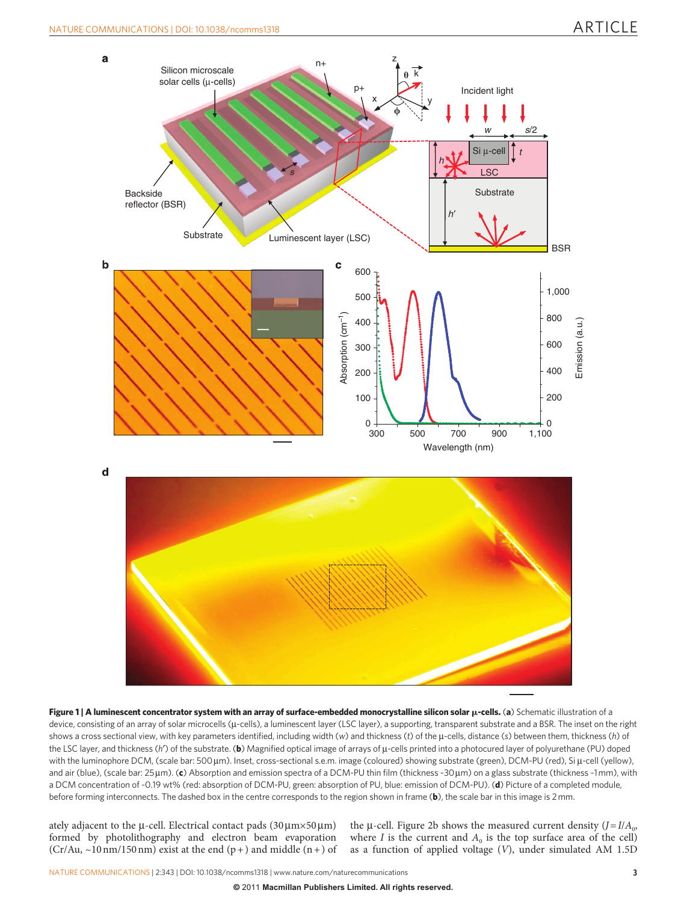

<span id="page-3-0"></span>Figure 1 | A luminescent concentrator system with an array of surface-embedded monocrystalline silicon solar  $\mu$ -cells. (a) Schematic illustration of a device, consisting of an array of solar microcells (µ-cells), a luminescent layer (LSC layer), a supporting, transparent substrate and a BSR. The inset on the right shows a cross sectional view, with key parameters identified, including width (*w*) and thickness (*t*) of the µ-cells, distance (*s*) between them, thickness (*h*) of the LSC layer, and thickness (*h'*) of the substrate. (b) Magnified optical image of arrays of μ-cells printed into a photocured layer of polyurethane (PU) doped with the luminophore DCM, (scale bar: 500 µm). Inset, cross-sectional s.e.m. image (coloured) showing substrate (green), DCM-PU (red), Si µ-cell (yellow), and air (blue), (scale bar: 25µm). (**c**) Absorption and emission spectra of a DCM-PU thin film (thickness ~30µm) on a glass substrate (thickness ~1mm), with a DCM concentration of ~0.19 wt% (red: absorption of DCM-PU, green: absorption of PU, blue: emission of DCM-PU). (**d**) Picture of a completed module, before forming interconnects. The dashed box in the centre corresponds to the region shown in frame (**b**), the scale bar in this image is 2mm.

ately adjacent to the  $\mu$ -cell. Electrical contact pads (30 $\mu$ m×50 $\mu$ m) formed by photolithography and electron beam evaporation (Cr/Au,  $\sim$ 10 nm/150 nm) exist at the end (p+) and middle (n+) of the  $\mu$ -cell. [Figure 2b](#page-4-0) shows the measured current density  $(J=I/A_0)$ , where *I* is the current and  $A_0$  is the top surface area of the cell) as a function of applied voltage (*V*), under simulated AM 1.5D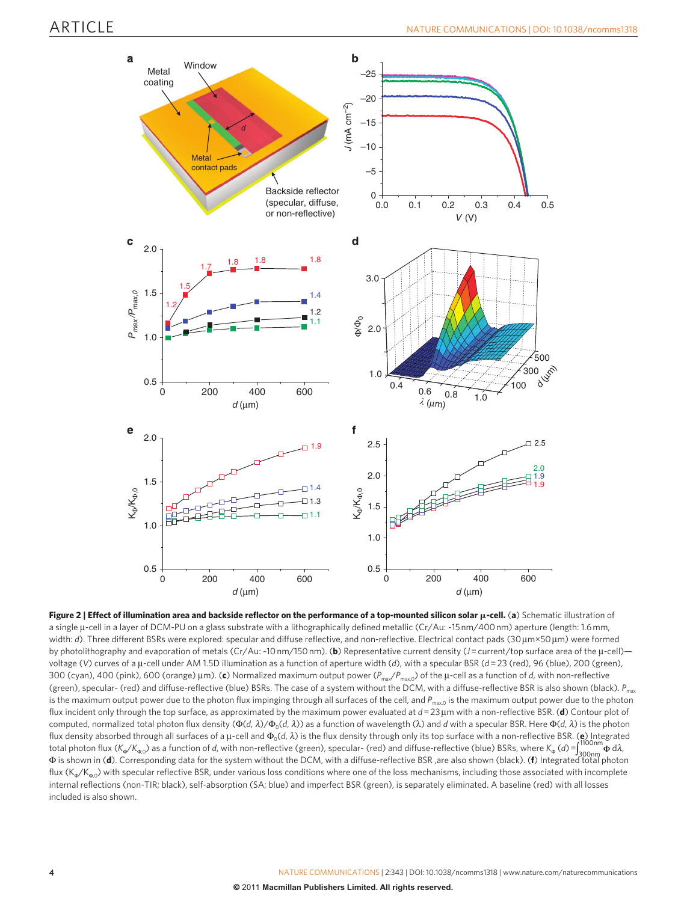

<span id="page-4-0"></span>Figure 2 | Effect of illumination area and backside reflector on the performance of a top-mounted silicon solar µ-cell. (a) Schematic illustration of a single µ-cell in a layer of DCM-PU on a glass substrate with a lithographically defined metallic (Cr/Au: ~15nm/400nm) aperture (length: 1.6mm, width: *d*). Three different BSRs were explored: specular and diffuse reflective, and non-reflective. Electrical contact pads (30µm×50µm) were formed by photolithography and evaporation of metals (Cr/Au: ~10 nm/150 nm). (b) Representative current density (*J* = current/top surface area of the µ-cell) voltage (*V*) curves of a µ-cell under AM 1.5D illumination as a function of aperture width (*d*), with a specular BSR (*d*=23 (red), 96 (blue), 200 (green), 300 (cyan), 400 (pink), 600 (orange) µm). (**c**) Normalized maximum output power (*P*max/*P*max,0) of the µ-cell as a function of *d*, with non-reflective (green), specular- (red) and diffuse-reflective (blue) BSRs. The case of a system without the DCM, with a diffuse-reflective BSR is also shown (black).  $P_{\text{max}}$ is the maximum output power due to the photon flux impinging through all surfaces of the cell, and  $P_{\text{max},0}$  is the maximum output power due to the photon flux incident only through the top surface, as approximated by the maximum power evaluated at *d*=23µm with a non-reflective BSR. (**d**) Contour plot of computed, normalized total photon flux density ( $\Phi(d, \lambda)/\Phi_0(d, \lambda)$ ) as a function of wavelength ( $\lambda$ ) and *d* with a specular BSR. Here  $\Phi(d, \lambda)$  is the photon flux density absorbed through all surfaces of a μ-cell and Φ<sub>0</sub>(*d*, λ) is the flux density through only its top surface with a non-reflective BSR. (e) Integrated (a) integrated (b) integrated (c) integrated (c) integrate total photon flux (K<sub>Φ</sub>/K<sub>Φ,0</sub>) as a function of d, with non-reflective (green), specular- (red) and diffuse-reflective (blue) BSRs, where K<sub>Φ</sub> (d) =[1<sup>100nm</sup> Φ dλ,<br>Φ is shown in (**d**). Corresponding data for the system w flux  $(K_{\phi}/K_{\phi}$ <sup>o</sup> with specular reflective BSR, under various loss conditions where one of the loss mechanisms, including those associated with incomplete internal reflections (non-TIR; black), self-absorption (SA; blue) and imperfect BSR (green), is separately eliminated. A baseline (red) with all losses included is also shown.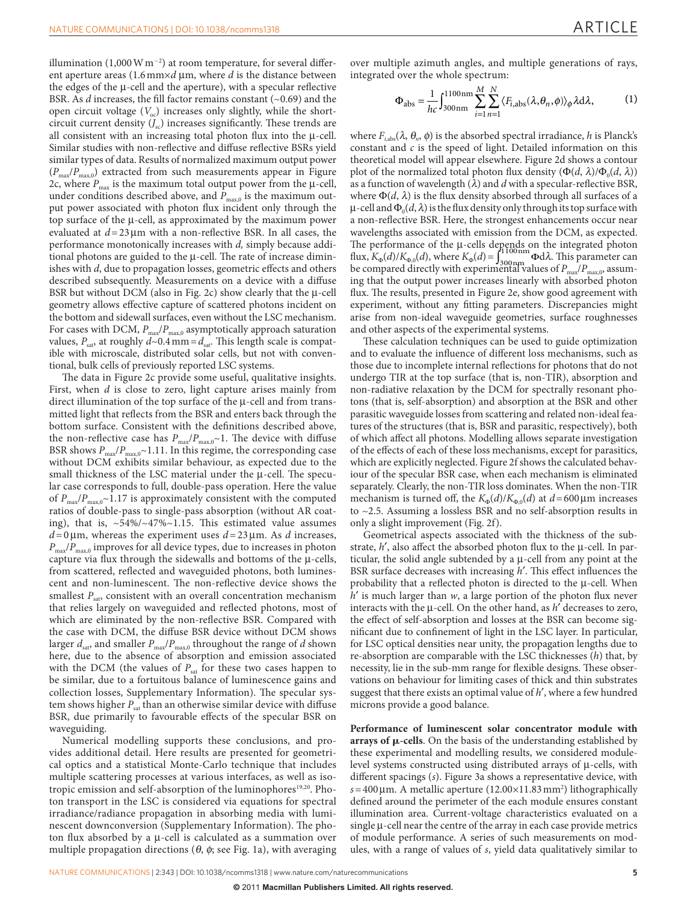illumination (1,000Wm−2 ) at room temperature, for several different aperture areas (1.6mm×*d* µm, where *d* is the distance between the edges of the  $\mu$ -cell and the aperture), with a specular reflective BSR. As *d* increases, the fill factor remains constant (~0.69) and the open circuit voltage  $(V_{oc})$  increases only slightly, while the shortcircuit current density  $(J_{\rm s})$  increases significantly. These trends are all consistent with an increasing total photon flux into the  $\mu$ -cell. Similar studies with non-reflective and diffuse reflective BSRs yield similar types of data. Results of normalized maximum output power (*P*max/*P*max,0) extracted from such measurements appear in [Figure](#page-4-0)  [2c,](#page-4-0) where  $P_{\text{max}}$  is the maximum total output power from the  $\mu$ -cell, under conditions described above, and  $P_{\text{max},0}$  is the maximum output power associated with photon flux incident only through the top surface of the µ-cell, as approximated by the maximum power evaluated at *d*=23µm with a non-reflective BSR. In all cases, the performance monotonically increases with *d,* simply because additional photons are guided to the µ-cell. The rate of increase diminishes with *d*, due to propagation losses, geometric effects and others described subsequently. Measurements on a device with a diffuse BSR but without DCM (also in [Fig. 2c](#page-4-0)) show clearly that the µ-cell geometry allows effective capture of scattered photons incident on the bottom and sidewall surfaces, even without the LSC mechanism. For cases with DCM,  $P_{\rm max}/P_{\rm max,0}$  asymptotically approach saturation values,  $P_{\text{sat}}$ , at roughly  $d \sim 0.4$  mm =  $d_{\text{sat}}$ . This length scale is compatible with microscale, distributed solar cells, but not with conventional, bulk cells of previously reported LSC systems.

The data in [Figure 2c](#page-4-0) provide some useful, qualitative insights. First, when *d* is close to zero, light capture arises mainly from direct illumination of the top surface of the µ-cell and from transmitted light that reflects from the BSR and enters back through the bottom surface. Consistent with the definitions described above, the non-reflective case has  $P_{\max}/P_{\max,0}{\sim}1.$  The device with diffuse BSR shows  $P_{\text{max}}/P_{\text{max},0}$ ~1.11. In this regime, the corresponding case without DCM exhibits similar behaviour, as expected due to the small thickness of the LSC material under the  $\mu$ -cell. The specular case corresponds to full, double-pass operation. Here the value of  $P_{\text{max}}/P_{\text{max},0}$ ~1.17 is approximately consistent with the computed ratios of double-pass to single-pass absorption (without AR coating), that is,  $\sim 54\%/ \sim 47\% \sim 1.15$ . This estimated value assumes  $d=0 \mu$ m, whereas the experiment uses  $d=23 \mu$ m. As *d* increases,  $P_{\text{max}}/P_{\text{max},0}$  improves for all device types, due to increases in photon capture via flux through the sidewalls and bottoms of the  $\mu$ -cells, from scattered, reflected and waveguided photons, both luminescent and non-luminescent. The non-reflective device shows the smallest  $P_{\text{sat}}$ , consistent with an overall concentration mechanism that relies largely on waveguided and reflected photons, most of which are eliminated by the non-reflective BSR. Compared with the case with DCM, the diffuse BSR device without DCM shows larger  $d_{\text{sat}}$ , and smaller  $P_{\text{max}}/P_{\text{max},0}$  throughout the range of *d* shown here, due to the absence of absorption and emission associated with the DCM (the values of  $P_{\text{sat}}$  for these two cases happen to be similar, due to a fortuitous balance of luminescence gains and collection losses, Supplementary Information). The specular system shows higher  $P_{\text{sat}}$  than an otherwise similar device with diffuse BSR, due primarily to favourable effects of the specular BSR on waveguiding.

Numerical modelling supports these conclusions, and provides additional detail. Here results are presented for geometrical optics and a statistical Monte-Carlo technique that includes multiple scattering processes at various interfaces, as well as iso-tropic emission and self-absorption of the luminophores<sup>[19,20](#page-8-12)</sup>. Photon transport in the LSC is considered via equations for spectral irradiance/radiance propagation in absorbing media with luminescent downconversion (Supplementary Information). The photon flux absorbed by a  $\mu$ -cell is calculated as a summation over multiple propagation directions ( $\theta$ ,  $\phi$ ; see [Fig. 1a\)](#page-3-0), with averaging

over multiple azimuth angles, and multiple generations of rays, integrated over the whole spectrum:

$$
\Phi_{\rm abs} = \frac{1}{hc} \int_{300 \,\rm nm}^{1100 \,\rm nm} \sum_{i=1}^{M} \sum_{n=1}^{N} \langle F_{i,\rm abs}(\lambda, \theta_n, \phi) \rangle_{\phi} \lambda \, d\lambda,\tag{1}
$$

where  $F_{i,abs}(\lambda, \theta_n, \phi)$  is the absorbed spectral irradiance, *h* is Planck's constant and *c* is the speed of light. Detailed information on this theoretical model will appear elsewhere. [Figure 2d](#page-4-0) shows a contour plot of the normalized total photon flux density ( $Φ(d, λ)/Φ_0(d, λ)$ ) as a function of wavelength (λ) and *d* with a specular-reflective BSR, where  $\Phi(d, \lambda)$  is the flux density absorbed through all surfaces of a  $\mu$ -cell and  $\Phi_0(d, \lambda)$  is the flux density only through its top surface with a non-reflective BSR. Here, the strongest enhancements occur near wavelengths associated with emission from the DCM, as expected. The performance of the  $\mu$ -cells depends on the integrated photon flux,  $K_{\Phi}(d)/K_{\Phi,0}(d)$ , where  $K_{\Phi}(d) = \int_{300 \text{nm}}^{1600 \text{nm}}$  $\int_{300\,\text{nm}}^{1100\,\text{nm}} \Phi \, d\lambda$ . This parameter can be compared directly with experimental values of  $P_{\text{max}}/P_{\text{max},0}$ , assuming that the output power increases linearly with absorbed photon flux. The results, presented in [Figure 2e](#page-4-0), show good agreement with experiment, without any fitting parameters. Discrepancies might arise from non-ideal waveguide geometries, surface roughnesses and other aspects of the experimental systems.

These calculation techniques can be used to guide optimization and to evaluate the influence of different loss mechanisms, such as those due to incomplete internal reflections for photons that do not undergo TIR at the top surface (that is, non-TIR), absorption and non-radiative relaxation by the DCM for spectrally resonant photons (that is, self-absorption) and absorption at the BSR and other parasitic waveguide losses from scattering and related non-ideal features of the structures (that is, BSR and parasitic, respectively), both of which affect all photons. Modelling allows separate investigation of the effects of each of these loss mechanisms, except for parasitics, which are explicitly neglected. [Figure 2f](#page-4-0) shows the calculated behaviour of the specular BSR case, when each mechanism is eliminated separately. Clearly, the non-TIR loss dominates. When the non-TIR mechanism is turned off, the  $K_{\Phi}(d)/K_{\Phi,0}(d)$  at  $d = 600 \,\mu\text{m}$  increases to ~2.5. Assuming a lossless BSR and no self-absorption results in only a slight improvement [\(Fig. 2f\)](#page-4-0).

Geometrical aspects associated with the thickness of the substrate, *h*′, also affect the absorbed photon flux to the µ-cell. In particular, the solid angle subtended by a µ-cell from any point at the BSR surface decreases with increasing *h*′. This effect influences the probability that a reflected photon is directed to the µ-cell. When *h*′ is much larger than *w*, a large portion of the photon flux never interacts with the µ-cell. On the other hand, as *h*′ decreases to zero, the effect of self-absorption and losses at the BSR can become significant due to confinement of light in the LSC layer. In particular, for LSC optical densities near unity, the propagation lengths due to re-absorption are comparable with the LSC thicknesses (*h*) that, by necessity, lie in the sub-mm range for flexible designs. These observations on behaviour for limiting cases of thick and thin substrates suggest that there exists an optimal value of *h*′, where a few hundred microns provide a good balance.

**Performance of luminescent solar concentrator module with**   $\boldsymbol{\alpha}$  arrays of  $\boldsymbol{\mu}$ -cells. On the basis of the understanding established by these experimental and modelling results, we considered modulelevel systems constructed using distributed arrays of  $\mu$ -cells, with different spacings (*s*). [Figure 3a](#page-6-0) shows a representative device, with *s*=400µm. A metallic aperture (12.00×11.83mm2 ) lithographically defined around the perimeter of the each module ensures constant illumination area. Current-voltage characteristics evaluated on a single µ-cell near the centre of the array in each case provide metrics of module performance. A series of such measurements on modules, with a range of values of *s*, yield data qualitatively similar to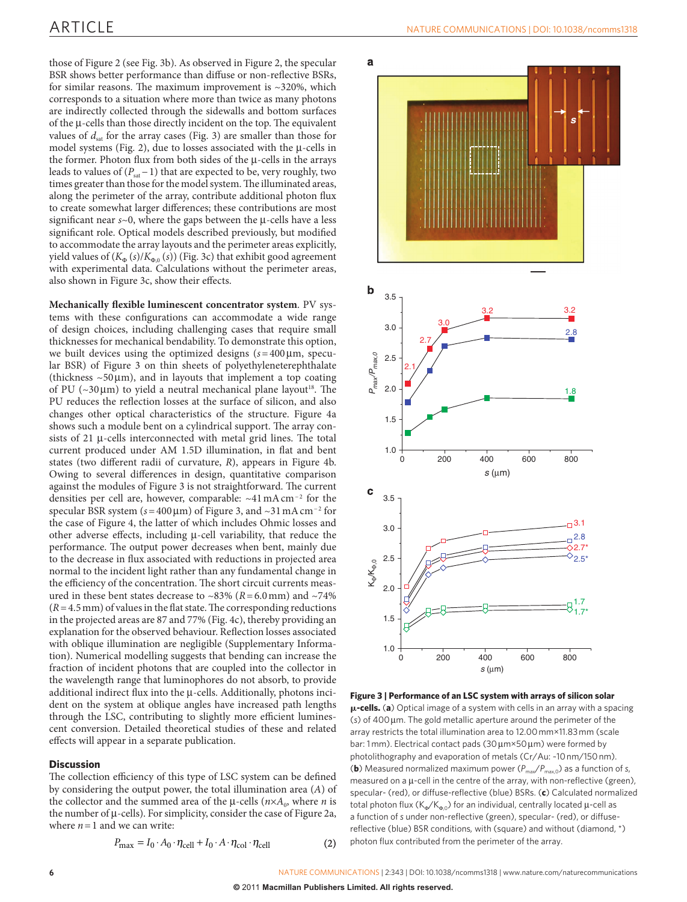those of [Figure 2](#page-4-0) (see [Fig. 3b\)](#page-6-0). As observed in [Figure 2,](#page-4-0) the specular BSR shows better performance than diffuse or non-reflective BSRs, for similar reasons. The maximum improvement is  $\sim$ 320%, which corresponds to a situation where more than twice as many photons are indirectly collected through the sidewalls and bottom surfaces of the µ-cells than those directly incident on the top. The equivalent values of  $d_{\text{sat}}$  for the array cases [\(Fig. 3](#page-6-0)) are smaller than those for model systems [\(Fig. 2](#page-4-0)), due to losses associated with the  $\mu$ -cells in the former. Photon flux from both sides of the  $\mu$ -cells in the arrays leads to values of  $(P_{sat}−1)$  that are expected to be, very roughly, two times greater than those for the model system. The illuminated areas, along the perimeter of the array, contribute additional photon flux to create somewhat larger differences; these contributions are most significant near *s*~0, where the gaps between the µ-cells have a less significant role. Optical models described previously, but modified to accommodate the array layouts and the perimeter areas explicitly, yield values of  $(K_{\Phi}(s)/K_{\Phi,0}(s))$  ([Fig. 3c\)](#page-6-0) that exhibit good agreement with experimental data. Calculations without the perimeter areas, also shown in [Figure 3c,](#page-6-0) show their effects.

**Mechanically flexible luminescent concentrator system**. PV systems with these configurations can accommodate a wide range of design choices, including challenging cases that require small thicknesses for mechanical bendability. To demonstrate this option, we built devices using the optimized designs (*s*=400µm, specular BSR) of [Figure 3](#page-6-0) on thin sheets of polyethyleneterephthalate (thickness  $\sim 50 \,\mu$ m), and in layouts that implement a top coating of PU ( $\sim$ 30 $\mu$ m) to yield a neutral mechanical plane layout<sup>18</sup>. The PU reduces the reflection losses at the surface of silicon, and also changes other optical characteristics of the structure. [Figure 4a](#page-7-0) shows such a module bent on a cylindrical support. The array consists of 21 µ-cells interconnected with metal grid lines. The total current produced under AM 1.5D illumination, in flat and bent states (two different radii of curvature, *R*), appears in [Figure 4b.](#page-7-0) Owing to several differences in design, quantitative comparison against the modules of [Figure 3](#page-6-0) is not straightforward. The current densities per cell are, however, comparable: ~41mAcm−2 for the specular BSR system (*s*=400µm) of [Figure 3,](#page-6-0) and ~31mAcm−2 for the case of [Figure 4,](#page-7-0) the latter of which includes Ohmic losses and other adverse effects, including µ-cell variability, that reduce the performance. The output power decreases when bent, mainly due to the decrease in flux associated with reductions in projected area normal to the incident light rather than any fundamental change in the efficiency of the concentration. The short circuit currents measured in these bent states decrease to  $\sim 83\%$  ( $R = 6.0$  mm) and  $\sim 74\%$  $(R = 4.5 \text{ mm})$  of values in the flat state. The corresponding reductions in the projected areas are 87 and 77% [\(Fig. 4c](#page-7-0)), thereby providing an explanation for the observed behaviour. Reflection losses associated with oblique illumination are negligible (Supplementary Information). Numerical modelling suggests that bending can increase the fraction of incident photons that are coupled into the collector in the wavelength range that luminophores do not absorb, to provide additional indirect flux into the  $\mu$ -cells. Additionally, photons incident on the system at oblique angles have increased path lengths through the LSC, contributing to slightly more efficient luminescent conversion. Detailed theoretical studies of these and related effects will appear in a separate publication.

#### **Discussion**

The collection efficiency of this type of LSC system can be defined by considering the output power, the total illumination area (*A*) of the collector and the summed area of the  $\mu$ -cells ( $n \times A_0$ , where *n* is the number of  $\mu$ -cells). For simplicity, consider the case of [Figure 2a,](#page-4-0) where  $n=1$  and we can write:

$$
P_{\text{max}} = I_0 \cdot A_0 \cdot \eta_{\text{cell}} + I_0 \cdot A \cdot \eta_{\text{col}} \cdot \eta_{\text{cell}} \tag{2}
$$



<span id="page-6-0"></span>**Figure 3 | Performance of an LSC system with arrays of silicon solar -cells.** (**a**) Optical image of a system with cells in an array with a spacing (*s*) of 400µm. The gold metallic aperture around the perimeter of the array restricts the total illumination area to 12.00mm×11.83mm (scale bar: 1mm). Electrical contact pads (30µm×50µm) were formed by photolithography and evaporation of metals (Cr/Au: ~10 nm/150 nm). (**b**) Measured normalized maximum power  $(P_{\text{max}}/P_{\text{max},0})$  as a function of *s*, measured on a  $\mu$ -cell in the centre of the array, with non-reflective (green), specular- (red), or diffuse-reflective (blue) BSRs. (**c**) Calculated normalized total photon flux ( $K_{\Phi}/K_{\Phi,0}$ ) for an individual, centrally located  $\mu$ -cell as a function of *s* under non-reflective (green), specular- (red), or diffusereflective (blue) BSR conditions*,* with (square) and without (diamond, \*) photon flux contributed from the perimeter of the array.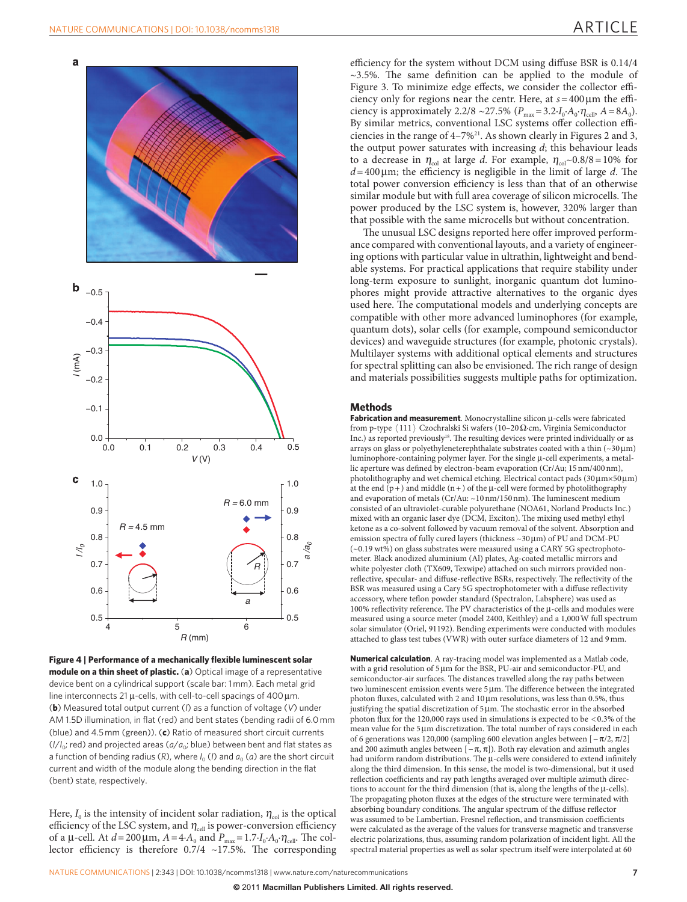

<span id="page-7-0"></span>**Figure 4 | Performance of a mechanically flexible luminescent solar module on a thin sheet of plastic.** (**a**) Optical image of a representative device bent on a cylindrical support (scale bar: 1mm). Each metal grid line interconnects 21 µ-cells, with cell-to-cell spacings of 400µm. (**b**) Measured total output current (*I*) as a function of voltage (*V*) under AM 1.5D illumination, in flat (red) and bent states (bending radii of 6.0mm (blue) and 4.5mm (green)). (**c**) Ratio of measured short circuit currents  $(I/I_0;$  red) and projected areas  $(a/a_0;$  blue) between bent and flat states as a function of bending radius (R), where  $I_0$  (*I*) and  $a_0$  (*a*) are the short circuit current and width of the module along the bending direction in the flat (bent) state, respectively.

Here,  $I_0$  is the intensity of incident solar radiation,  $\eta_{col}$  is the optical efficiency of the LSC system, and  $\eta_{cell}$  is power-conversion efficiency of a  $\mu$ -cell. At  $d = 200 \mu m$ ,  $A = 4 \cdot A_0$  and  $P_{\text{max}} = 1.7 \cdot I_0 \cdot A_0 \cdot \eta_{\text{cell}}$ . The collector efficiency is therefore 0.7/4 ~17.5%. The corresponding efficiency for the system without DCM using diffuse BSR is 0.14/4 ~3.5%. The same definition can be applied to the module of [Figure 3.](#page-6-0) To minimize edge effects, we consider the collector efficiency only for regions near the centr. Here, at *s*=400µm the efficiency is approximately 2.2/8 ~27.5% ( $P_{\text{max}} = 3.2 \cdot I_0 \cdot A_0 \cdot \eta_{\text{cell}}$ ,  $A = 8A_0$ ). By similar metrics, conventional LSC systems offer collection efficiencies in the range of  $4-7\%$ <sup>21</sup>. As shown clearly in [Figures 2 and 3,](#page-4-0) the output power saturates with increasing *d*; this behaviour leads to a decrease in  $\eta_{\text{col}}$  at large *d*. For example,  $\eta_{\text{col}} \sim 0.8/8 = 10\%$  for *d*=400µm; the efficiency is negligible in the limit of large *d*. The total power conversion efficiency is less than that of an otherwise similar module but with full area coverage of silicon microcells. The power produced by the LSC system is, however, 320% larger than that possible with the same microcells but without concentration.

The unusual LSC designs reported here offer improved performance compared with conventional layouts, and a variety of engineering options with particular value in ultrathin, lightweight and bendable systems. For practical applications that require stability under long-term exposure to sunlight, inorganic quantum dot luminophores might provide attractive alternatives to the organic dyes used here. The computational models and underlying concepts are compatible with other more advanced luminophores (for example, quantum dots), solar cells (for example, compound semiconductor devices) and waveguide structures (for example, photonic crystals). Multilayer systems with additional optical elements and structures for spectral splitting can also be envisioned. The rich range of design and materials possibilities suggests multiple paths for optimization.

#### **Methods**

**Fabrication and measurement**. Monocrystalline silicon µ-cells were fabricated from p-type 〈 111 〉 Czochralski Si wafers (10–20Ω·cm, Virginia Semiconductor Inc.) as reported previously<sup>[18](#page-8-11)</sup>. The resulting devices were printed individually or as arrays on glass or polyethyleneterephthalate substrates coated with a thin  $(\sim 30 \,\text{\mu m})$ luminophore-containing polymer layer. For the single µ-cell experiments, a metallic aperture was defined by electron-beam evaporation (Cr/Au; 15nm/400nm), photolithography and wet chemical etching. Electrical contact pads (30µm×50µm) at the end  $(p+)$  and middle  $(n+)$  of the  $\mu$ -cell were formed by photolithography and evaporation of metals (Cr/Au: ~10 nm/150 nm). The luminescent medium consisted of an ultraviolet-curable polyurethane (NOA61, Norland Products Inc.) mixed with an organic laser dye (DCM, Exciton). The mixing used methyl ethyl ketone as a co-solvent followed by vacuum removal of the solvent. Absorption and emission spectra of fully cured layers (thickness ~30µm) of PU and DCM-PU (~0.19 wt%) on glass substrates were measured using a CARY 5G spectrophotometer. Black anodized aluminium (Al) plates, Ag-coated metallic mirrors and white polyester cloth (TX609, Texwipe) attached on such mirrors provided nonreflective, specular- and diffuse-reflective BSRs, respectively. The reflectivity of the BSR was measured using a Cary 5G spectrophotometer with a diffuse reflectivity accessory, where teflon powder standard (Spectralon, Labsphere) was used as 100% reflectivity reference. The PV characteristics of the  $\mu$ -cells and modules were measured using a source meter (model 2400, Keithley) and a 1,000W full spectrum solar simulator (Oriel, 91192). Bending experiments were conducted with modules attached to glass test tubes (VWR) with outer surface diameters of 12 and 9mm.

**Numerical calculation**. A ray-tracing model was implemented as a Matlab code, with a grid resolution of 5µm for the BSR, PU-air and semiconductor-PU, and semiconductor-air surfaces. The distances travelled along the ray paths between two luminescent emission events were 5µm. The difference between the integrated photon fluxes, calculated with 2 and  $10 \,\mu m$  resolutions, was less than 0.5%, thus justifying the spatial discretization of 5µm. The stochastic error in the absorbed photon flux for the 120,000 rays used in simulations is expected to be  $\leq 0.3\%$  of the mean value for the 5µm discretization. The total number of rays considered in each of 6 generations was 120,000 (sampling 600 elevation angles between  $[-\pi/2, \pi/2]$ and 200 azimuth angles between  $[-\pi, \pi]$ ). Both ray elevation and azimuth angles had uniform random distributions. The  $\mu$ -cells were considered to extend infinitely along the third dimension. In this sense, the model is two-dimensional, but it used reflection coefficients and ray path lengths averaged over multiple azimuth directions to account for the third dimension (that is, along the lengths of the  $\mu$ -cells). The propagating photon fluxes at the edges of the structure were terminated with absorbing boundary conditions. The angular spectrum of the diffuse reflector was assumed to be Lambertian. Fresnel reflection, and transmission coefficients were calculated as the average of the values for transverse magnetic and transverse electric polarizations, thus, assuming random polarization of incident light. All the spectral material properties as well as solar spectrum itself were interpolated at 60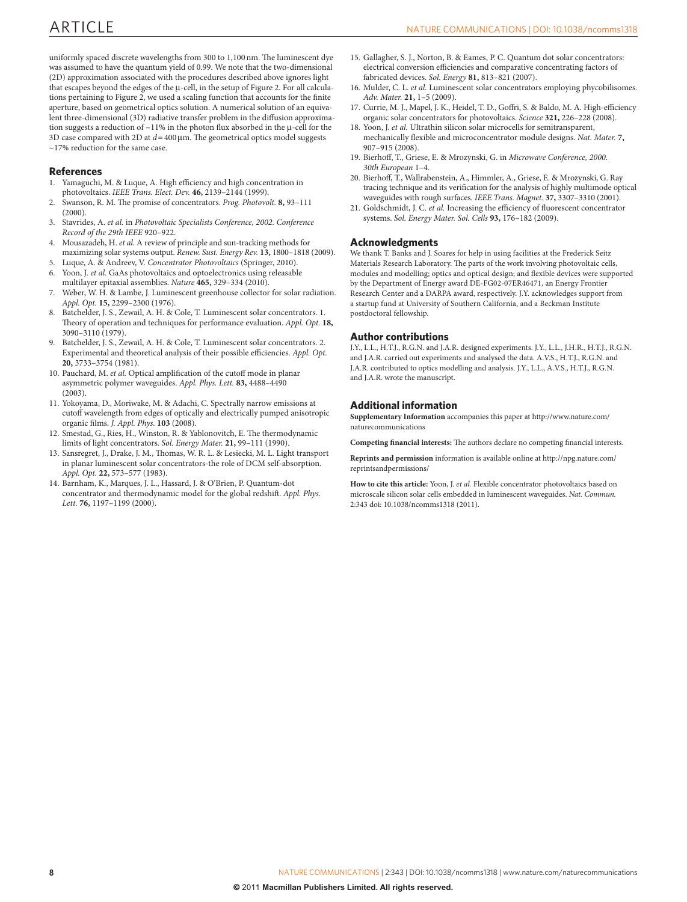uniformly spaced discrete wavelengths from 300 to 1,100nm. The luminescent dye was assumed to have the quantum yield of 0.99. We note that the two-dimensional (2D) approximation associated with the procedures described above ignores light that escapes beyond the edges of the µ-cell, in the setup of [Figure 2.](#page-4-0) For all calculations pertaining to [Figure 2](#page-4-0), we used a scaling function that accounts for the finite aperture, based on geometrical optics solution. A numerical solution of an equivalent three-dimensional (3D) radiative transfer problem in the diffusion approximation suggests a reduction of ~11% in the photon flux absorbed in the µ-cell for the 3D case compared with 2D at  $d = 400 \mu m$ . The geometrical optics model suggests ~17% reduction for the same case.

#### **References**

- <span id="page-8-0"></span>1. Yamaguchi, M. & Luque, A. High efficiency and high concentration in photovoltaics. *IEEE Trans. Elect. Dev.* **46,** 2139–2144 (1999).
- 2. Swanson, R. M. The promise of concentrators. *Prog. Photovolt.* **8,** 93–111  $(2000)$
- <span id="page-8-1"></span>3. Stavrides, A. *et al.* in *Photovoltaic Specialists Conference, 2002. Conference Record of the 29th IEEE* 920–922.
- <span id="page-8-2"></span>4. Mousazadeh, H. *et al.* A review of principle and sun-tracking methods for maximizing solar systems output. *Renew. Sust. Energy Rev.* **13,** 1800–1818 (2009).
- 5. Luque, A. & Andreev, V. *Concentrator Photovoltaics* (Springer, 2010).
- <span id="page-8-3"></span>6. Yoon, J. *et al.* GaAs photovoltaics and optoelectronics using releasable multilayer epitaxial assemblies. *Nature* **465,** 329–334 (2010).
- <span id="page-8-4"></span>7. Weber, W. H. & Lambe, J. Luminescent greenhouse collector for solar radiation. *Appl. Opt.* **15,** 2299–2300 (1976).
- 8. Batchelder, J. S., Zewail, A. H. & Cole, T. Luminescent solar concentrators. 1. Theory of operation and techniques for performance evaluation. *Appl. Opt.* **18,** 3090–3110 (1979).
- Batchelder, J. S., Zewail, A. H. & Cole, T. Luminescent solar concentrators. 2. Experimental and theoretical analysis of their possible efficiencies. *Appl. Opt.* **20,** 3733–3754 (1981).
- <span id="page-8-5"></span>10. Pauchard, M. *et al.* Optical amplification of the cutoff mode in planar asymmetric polymer waveguides. *Appl. Phys. Lett.* **83,** 4488–4490 (2003).
- 11. Yokoyama, D., Moriwake, M. & Adachi, C. Spectrally narrow emissions at cutoff wavelength from edges of optically and electrically pumped anisotropic organic films. *J. Appl. Phys.* **103** (2008).
- <span id="page-8-6"></span>12. Smestad, G., Ries, H., Winston, R. & Yablonovitch, E. The thermodynamic limits of light concentrators. *Sol. Energy Mater.* **21,** 99–111 (1990).
- <span id="page-8-7"></span>13. Sansregret, J., Drake, J. M., Thomas, W. R. L. & Lesiecki, M. L. Light transport in planar luminescent solar concentrators-the role of DCM self-absorption. *Appl. Opt.* **22,** 573–577 (1983).
- <span id="page-8-8"></span>14. Barnham, K., Marques, J. L., Hassard, J. & O'Brien, P. Quantum-dot concentrator and thermodynamic model for the global redshift. *Appl. Phys. Lett.* **76,** 1197–1199 (2000).
- 15. Gallagher, S. J., Norton, B. & Eames, P. C. Quantum dot solar concentrators: electrical conversion efficiencies and comparative concentrating factors of fabricated devices. *Sol. Energy* **81,** 813–821 (2007).
- <span id="page-8-9"></span>16. Mulder, C. L. *et al.* Luminescent solar concentrators employing phycobilisomes. *Adv. Mater.* **21,** 1–5 (2009).
- <span id="page-8-10"></span>17. Currie, M. J., Mapel, J. K., Heidel, T. D., Goffri, S. & Baldo, M. A. High-efficiency organic solar concentrators for photovoltaics. *Science* **321,** 226–228 (2008).
- <span id="page-8-11"></span>18. Yoon, J. *et al.* Ultrathin silicon solar microcells for semitransparent, mechanically flexible and microconcentrator module designs. *Nat. Mater.* **7,** 907–915 (2008).
- <span id="page-8-12"></span>19. Bierhoff, T., Griese, E. & Mrozynski, G. in *Microwave Conference, 2000. 30th European* 1–4.
- 20. Bierhoff, T., Wallrabenstein, A., Himmler, A., Griese, E. & Mrozynski, G. Ray tracing technique and its verification for the analysis of highly multimode optical waveguides with rough surfaces. *IEEE Trans. Magnet.* **37,** 3307–3310 (2001).
- <span id="page-8-13"></span>21. Goldschmidt, J. C. *et al.* Increasing the efficiency of fluorescent concentrator systems. *Sol. Energy Mater. Sol. Cells* **93,** 176–182 (2009).

#### **Acknowledgments**

We thank T. Banks and J. Soares for help in using facilities at the Frederick Seitz Materials Research Laboratory. The parts of the work involving photovoltaic cells, modules and modelling; optics and optical design; and flexible devices were supported by the Department of Energy award DE-FG02-07ER46471, an Energy Frontier Research Center and a DARPA award, respectively. J.Y. acknowledges support from a startup fund at University of Southern California, and a Beckman Institute postdoctoral fellowship.

#### **Author contributions**

J.Y., L.L., H.T.J., R.G.N. and J.A.R. designed experiments. J.Y., L.L., J.H.R., H.T.J., R.G.N. and J.A.R. carried out experiments and analysed the data. A.V.S., H.T.J., R.G.N. and J.A.R. contributed to optics modelling and analysis. J.Y., L.L., A.V.S., H.T.J., R.G.N. and J.A.R. wrote the manuscript.

#### **Additional information**

**Supplementary Information** accompanies this paper at http://www.nature.com/ naturecommunications

**Competing financial interests:** The authors declare no competing financial interests.

**Reprints and permission** information is available online at http://npg.nature.com/ reprintsandpermissions/

**How to cite this article:** Yoon, J. *et al.* Flexible concentrator photovoltaics based on microscale silicon solar cells embedded in luminescent waveguides. *Nat. Commun.* 2:343 doi: 10.1038/ncomms1318 (2011).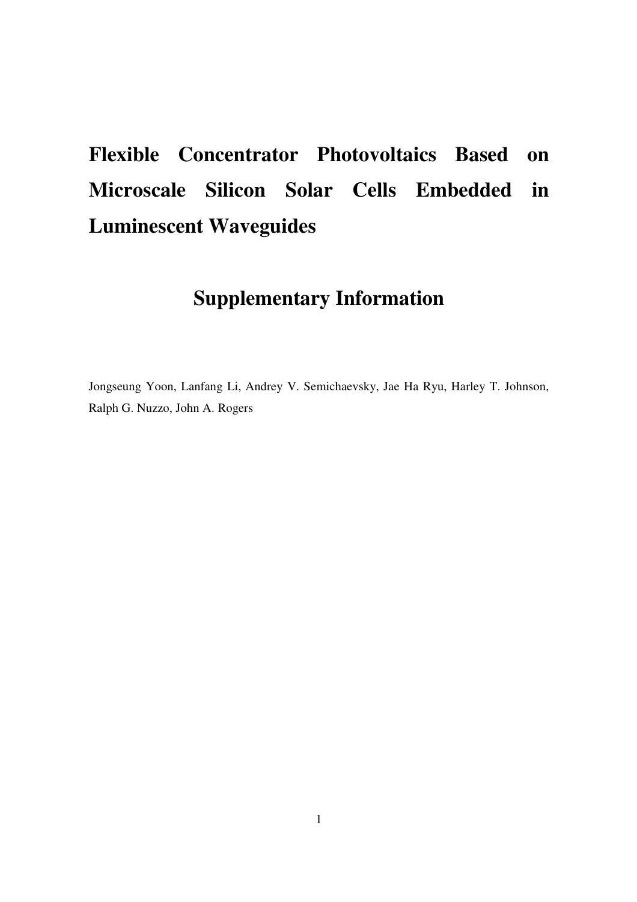# **Flexible Concentrator Photovoltaics Based on Microscale Silicon Solar Cells Embedded in Luminescent Waveguides**

# **Supplementary Information**

Jongseung Yoon, Lanfang Li, Andrey V. Semichaevsky, Jae Ha Ryu, Harley T. Johnson, Ralph G. Nuzzo, John A. Rogers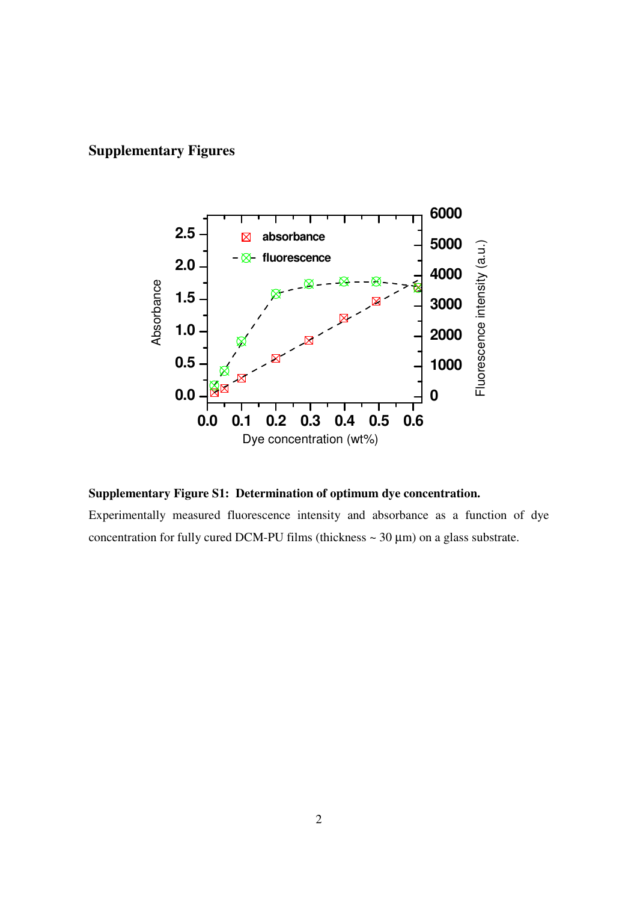## **Supplementary Figures**



**Supplementary Figure S1: Determination of optimum dye concentration.** 

Experimentally measured fluorescence intensity and absorbance as a function of dye concentration for fully cured DCM-PU films (thickness  $\sim$  30  $\mu$ m) on a glass substrate.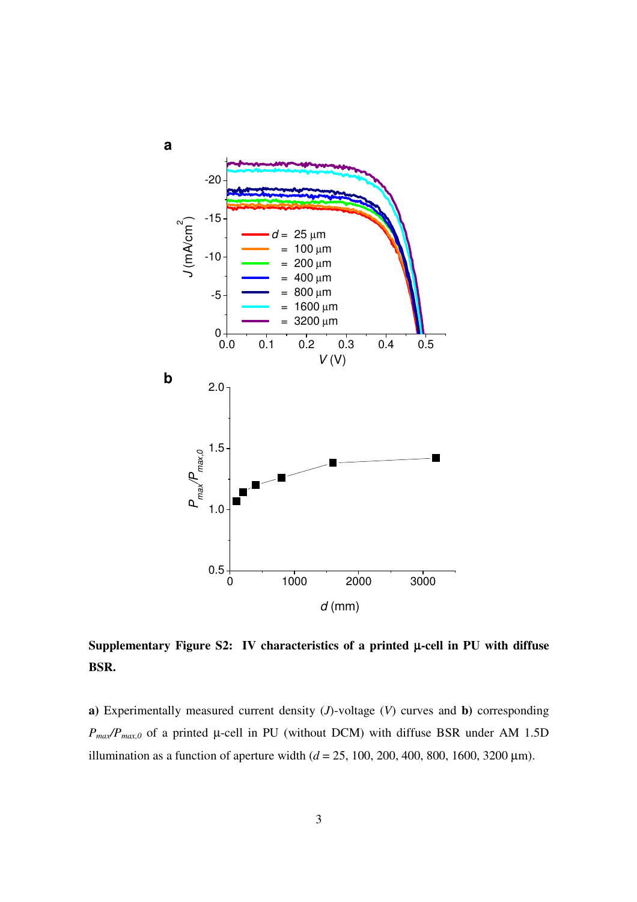

**Supplementary Figure S2: IV characteristics of a printed** µ**-cell in PU with diffuse BSR.** 

**a)** Experimentally measured current density (*J*)-voltage (*V*) curves and **b)** corresponding  $P_{max}/P_{max,0}$  of a printed  $\mu$ -cell in PU (without DCM) with diffuse BSR under AM 1.5D illumination as a function of aperture width  $(d = 25, 100, 200, 400, 800, 1600, 3200 \,\text{\mu m})$ .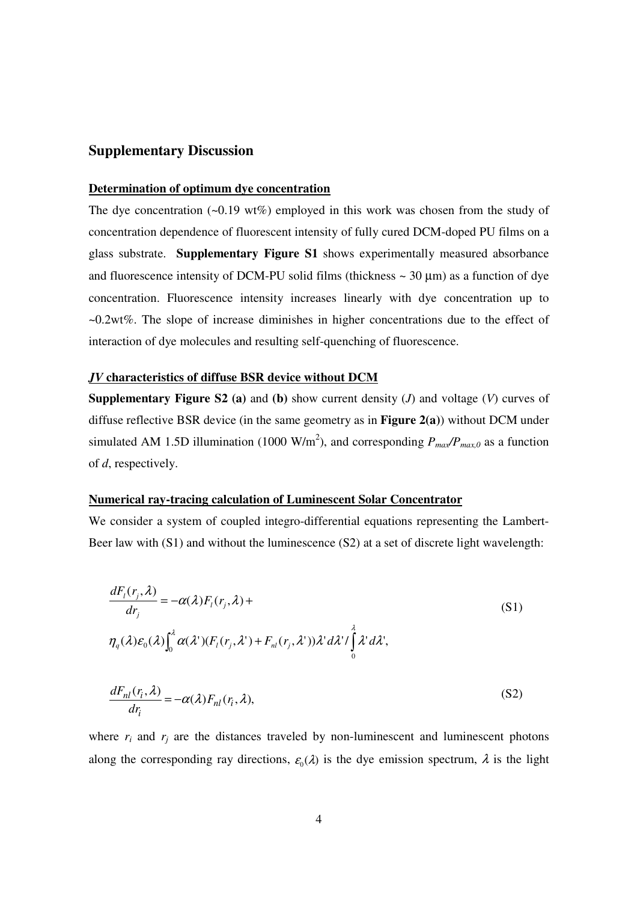## **Supplementary Discussion**

## **Determination of optimum dye concentration**

The dye concentration  $(-0.19 \text{ wt\%})$  employed in this work was chosen from the study of concentration dependence of fluorescent intensity of fully cured DCM-doped PU films on a glass substrate. **Supplementary Figure S1** shows experimentally measured absorbance and fluorescence intensity of DCM-PU solid films (thickness  $\sim$  30  $\mu$ m) as a function of dye concentration. Fluorescence intensity increases linearly with dye concentration up to ~0.2wt%. The slope of increase diminishes in higher concentrations due to the effect of interaction of dye molecules and resulting self-quenching of fluorescence.

## *JV* **characteristics of diffuse BSR device without DCM**

**Supplementary Figure S2 (a)** and **(b)** show current density (*J*) and voltage (*V*) curves of diffuse reflective BSR device (in the same geometry as in **Figure 2(a)**) without DCM under simulated AM 1.5D illumination (1000 W/m<sup>2</sup>), and corresponding  $P_{max}/P_{max,0}$  as a function of *d*, respectively.

### **Numerical ray-tracing calculation of Luminescent Solar Concentrator**

We consider a system of coupled integro-differential equations representing the Lambert-Beer law with (S1) and without the luminescence (S2) at a set of discrete light wavelength:

$$
\frac{dF_i(r_j,\lambda)}{dr_j} = -\alpha(\lambda)F_i(r_j,\lambda) +
$$
\n
$$
\eta_q(\lambda)\varepsilon_0(\lambda)\int_0^{\lambda}\alpha(\lambda')(F_i(r_j,\lambda') + F_{nl}(r_j,\lambda'))\lambda'd\lambda'/\int_0^{\lambda}\lambda'd\lambda',
$$
\n(S1)

$$
\frac{dF_{nl}(r_i,\lambda)}{dr_i} = -\alpha(\lambda)F_{nl}(r_i,\lambda),\tag{S2}
$$

where  $r_i$  and  $r_j$  are the distances traveled by non-luminescent and luminescent photons along the corresponding ray directions,  $\varepsilon_0(\lambda)$  is the dye emission spectrum,  $\lambda$  is the light